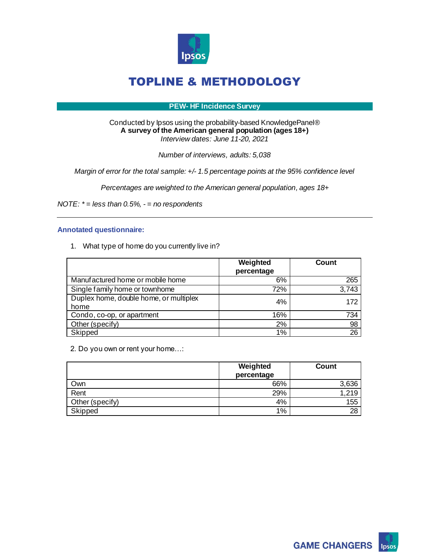

#### **PEW- HF Incidence Survey**

#### Conducted by Ipsos using the probability-based KnowledgePanel® **A survey of the American general population (ages 18+)**  *Interview dates: June 11-20, 2021*

*Number of interviews, adults: 5,038*

*Margin of error for the total sample: +/- 1.5 percentage points at the 95% confidence level*

*Percentages are weighted to the American general population, ages 18+*

*NOTE: \* = less than 0.5%, - = no respondents*

#### **Annotated questionnaire:**

1. What type of home do you currently live in?

|                                                | Weighted<br>percentage | Count |
|------------------------------------------------|------------------------|-------|
| Manufactured home or mobile home               | 6%                     | 265   |
| Single family home or townhome                 | 72%                    | 3,743 |
| Duplex home, double home, or multiplex<br>home | 4%                     | 172   |
| Condo, co-op, or apartment                     | 16%                    | 734   |
| Other (specify)                                | 2%                     | 98    |
| Skipped                                        | 1%                     | 26    |

2. Do you own or rent your home…:

|                 | Weighted<br>percentage | <b>Count</b> |
|-----------------|------------------------|--------------|
| Own             | 66%                    | 3,636        |
| Rent            | 29%                    | 1,219        |
| Other (specify) | 4%                     | 155          |
| Skipped         | 1%                     | 28           |

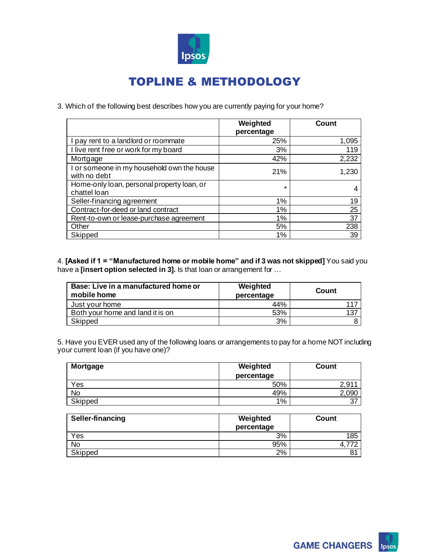

3. Which of the following best describes how you are currently paying for your home?

|                                                            | Weighted<br>percentage | Count |
|------------------------------------------------------------|------------------------|-------|
| I pay rent to a landlord or roommate                       | 25%                    | 1,095 |
| I live rent free or work for my board                      | 3%                     | 119   |
| Mortgage                                                   | 42%                    | 2,232 |
| I or someone in my household own the house<br>with no debt | 21%                    | 1,230 |
| Home-only loan, personal property loan, or<br>chattel loan | $\star$                |       |
| Seller-financing agreement                                 | 1%                     | 19    |
| Contract-for-deed or land contract                         | 1%                     | 25    |
| Rent-to-own or lease-purchase agreement                    | 1%                     | 37    |
| Other                                                      | 5%                     | 238   |
| Skipped                                                    | 1%                     | 39    |

4. **[Asked if 1 = "Manufactured home or mobile home" and if 3 was not skipped]** You said you have a **[insert option selected in 3].** Is that loan or arrangement for ...

| Base: Live in a manufactured home or<br>mobile home | Weighted<br>percentage | Count |
|-----------------------------------------------------|------------------------|-------|
| Just your home                                      | 44%                    | 117   |
| Both your home and land it is on                    | 53%                    | 137   |
| Skipped                                             | 3%                     |       |

5. Have you EVER used any of the following loans or arrangements to pay for a home NOT including your current loan (if you have one)?

| <b>Mortgage</b> | Weighted   | Count      |
|-----------------|------------|------------|
|                 | percentage |            |
| Yes             | 50%        | - Q1<br>ົ  |
| No              | 49%        | 090        |
| Skipped         | 1%         | -27<br>، ب |

| Seller-financing | Weighted<br>percentage | Count |
|------------------|------------------------|-------|
| Yes              | 3%                     | 85    |
| No               | 95%                    |       |
| Skipped          | 2%                     |       |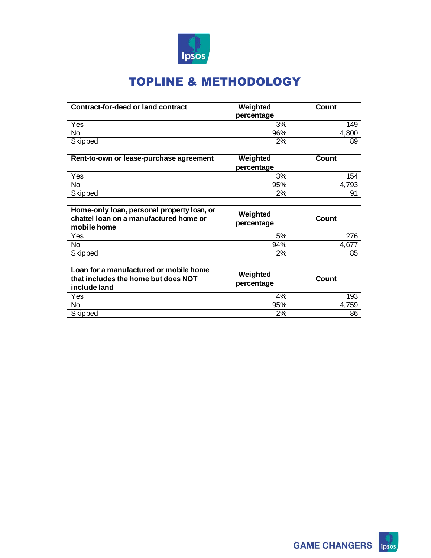

| Contract-for-deed or land contract | Weighted<br>percentage | Count |
|------------------------------------|------------------------|-------|
| Yes                                | 3%                     | 149   |
| No                                 | 96%                    |       |
| Skipped                            | 2%                     | 89    |

| Rent-to-own or lease-purchase agreement | Weighted<br>percentage | Count |
|-----------------------------------------|------------------------|-------|
| Yes                                     | 3%                     | 154   |
| No                                      | 95%                    | 4.793 |
| Skipped                                 | 2%                     | 91    |

| Home-only loan, personal property loan, or<br>chattel loan on a manufactured home or<br>mobile home | Weighted<br>percentage | Count |
|-----------------------------------------------------------------------------------------------------|------------------------|-------|
| Yes                                                                                                 | 5%                     | 276   |
| <b>No</b>                                                                                           | 94%                    |       |
| Skipped                                                                                             | 2%                     | 85    |

| Loan for a manufactured or mobile home<br>that includes the home but does NOT<br>include land | Weighted<br>percentage | Count |
|-----------------------------------------------------------------------------------------------|------------------------|-------|
| Yes                                                                                           | 4%                     | 193   |
| No                                                                                            | 95%                    | 159   |
| Skipped                                                                                       | 2%                     | 86    |

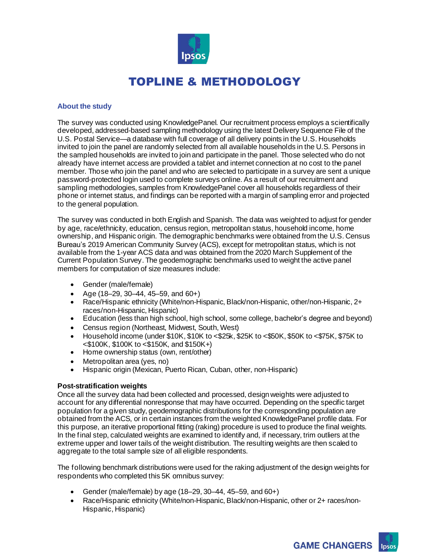

### **About the study**

The survey was conducted using KnowledgePanel. Our recruitment process employs a scientifically developed, addressed-based sampling methodology using the latest Delivery Sequence File of the U.S. Postal Service—a database with full coverage of all delivery points in the U.S. Households invited to join the panel are randomly selected from all available households in the U.S. Persons in the sampled households are invited to join and participate in the panel. Those selected who do not already have internet access are provided a tablet and internet connection at no cost to the panel member. Those who join the panel and who are selected to participate in a survey are sent a unique password-protected login used to complete surveys online. As a result of our recruitment and sampling methodologies, samples from KnowledgePanel cover all households regardless of their phone or internet status, and findings can be reported with a margin of sampling error and projected to the general population.

The survey was conducted in both English and Spanish. The data was weighted to adjust for gender by age, race/ethnicity, education, census region, metropolitan status, household income, home ownership, and Hispanic origin. The demographic benchmarks were obtained from the U.S. Census Bureau's 2019 American Community Survey (ACS), except for metropolitan status, which is not available from the 1-year ACS data and was obtained from the 2020 March Supplement of the Current Population Survey. The geodemographic benchmarks used to weight the active panel members for computation of size measures include:

- Gender (male/female)
- Age (18–29, 30–44, 45–59, and  $60+$ )
- Race/Hispanic ethnicity (White/non-Hispanic, Black/non-Hispanic, other/non-Hispanic, 2+ races/non-Hispanic, Hispanic)
- Education (less than high school, high school, some college, bachelor's degree and beyond)
- Census region (Northeast, Midwest, South, West)
- Household income (under \$10K, \$10K to <\$25k, \$25K to <\$50K, \$50K to <\$75K, \$75K to <\$100K, \$100K to <\$150K, and \$150K+)
- Home ownership status (own, rent/other)
- Metropolitan area (yes, no)
- Hispanic origin (Mexican, Puerto Rican, Cuban, other, non-Hispanic)

### **Post-stratification weights**

Once all the survey data had been collected and processed, design weights were adjusted to account for any differential nonresponse that may have occurred. Depending on the specific target population for a given study, geodemographic distributions for the corresponding population are obtained from the ACS, or in certain instances from the weighted KnowledgePanel profile data. For this purpose, an iterative proportional fitting (raking) procedure is used to produce the final weights. In the final step, calculated weights are examined to identify and, if necessary, trim outliers at the extreme upper and lower tails of the weight distribution. The resulting weights are then scaled to aggregate to the total sample size of all eligible respondents.

The following benchmark distributions were used for the raking adjustment of the design weights for respondents who completed this 5K omnibus survey:

- Gender (male/female) by age (18–29, 30–44, 45–59, and 60+)
- Race/Hispanic ethnicity (White/non-Hispanic, Black/non-Hispanic, other or 2+ races/non-Hispanic, Hispanic)